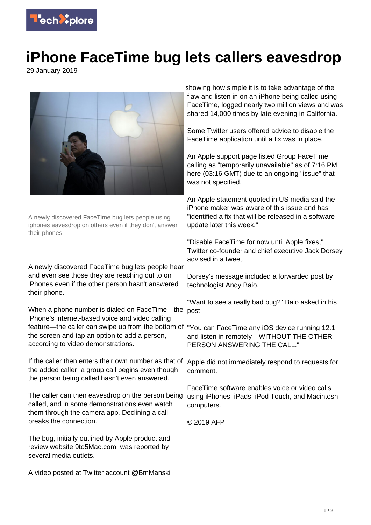

## **iPhone FaceTime bug lets callers eavesdrop**

29 January 2019



A newly discovered FaceTime bug lets people using iphones eavesdrop on others even if they don't answer their phones

A newly discovered FaceTime bug lets people hear and even see those they are reaching out to on iPhones even if the other person hasn't answered their phone.

When a phone number is dialed on FaceTime—the post. iPhone's internet-based voice and video calling feature—the caller can swipe up from the bottom of "You can FaceTime any iOS device running 12.1 the screen and tap an option to add a person, according to video demonstrations.

If the caller then enters their own number as that of Apple did not immediately respond to requests for the added caller, a group call begins even though the person being called hasn't even answered.

The caller can then eavesdrop on the person being called, and in some demonstrations even watch them through the camera app. Declining a call breaks the connection.

The bug, initially outlined by Apple product and review website 9to5Mac.com, was reported by several media outlets.

A video posted at Twitter account @BmManski

showing how simple it is to take advantage of the flaw and listen in on an iPhone being called using FaceTime, logged nearly two million views and was shared 14,000 times by late evening in California.

Some Twitter users offered advice to disable the FaceTime application until a fix was in place.

An Apple support page listed Group FaceTime calling as "temporarily unavailable" as of 7:16 PM here (03:16 GMT) due to an ongoing "issue" that was not specified.

An Apple statement quoted in US media said the iPhone maker was aware of this issue and has "identified a fix that will be released in a software update later this week."

"Disable FaceTime for now until Apple fixes," Twitter co-founder and chief executive Jack Dorsey advised in a tweet.

Dorsey's message included a forwarded post by technologist Andy Baio.

"Want to see a really bad bug?" Baio asked in his

and listen in remotely—WITHOUT THE OTHER PERSON ANSWERING THE CALL."

comment.

FaceTime software enables voice or video calls using iPhones, iPads, iPod Touch, and Macintosh computers.

© 2019 AFP